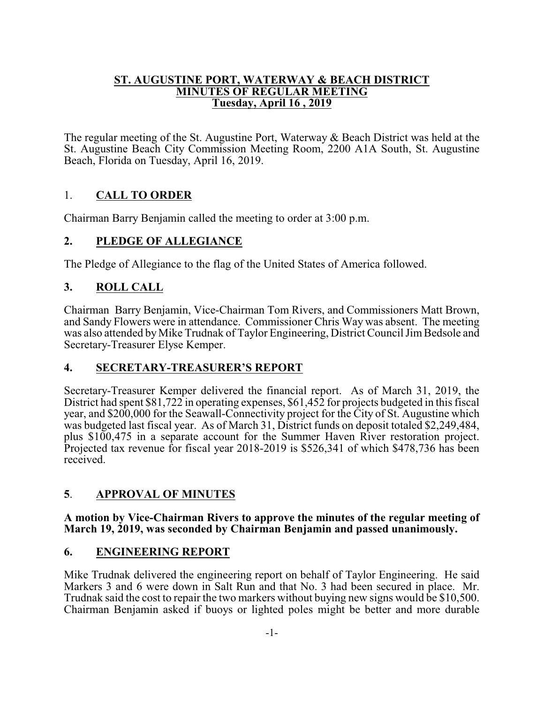### **ST. AUGUSTINE PORT, WATERWAY & BEACH DISTRICT MINUTES OF REGULAR MEETING Tuesday, April 16 , 2019**

The regular meeting of the St. Augustine Port, Waterway & Beach District was held at the St. Augustine Beach City Commission Meeting Room, 2200 A1A South, St. Augustine Beach, Florida on Tuesday, April 16, 2019.

# 1. **CALL TO ORDER**

Chairman Barry Benjamin called the meeting to order at 3:00 p.m.

## **2. PLEDGE OF ALLEGIANCE**

The Pledge of Allegiance to the flag of the United States of America followed.

## **3. ROLL CALL**

Chairman Barry Benjamin, Vice-Chairman Tom Rivers, and Commissioners Matt Brown, and Sandy Flowers were in attendance. Commissioner Chris Way was absent. The meeting was also attended byMike Trudnak of Taylor Engineering, District Council Jim Bedsole and Secretary-Treasurer Elyse Kemper.

## **4. SECRETARY-TREASURER'S REPORT**

Secretary-Treasurer Kemper delivered the financial report. As of March 31, 2019, the District had spent \$81,722 in operating expenses, \$61,452 for projects budgeted in this fiscal year, and \$200,000 for the Seawall-Connectivity project for the City of St. Augustine which was budgeted last fiscal year. As of March 31, District funds on deposit totaled \$2,249,484, plus \$100,475 in a separate account for the Summer Haven River restoration project. Projected tax revenue for fiscal year 2018-2019 is \$526,341 of which \$478,736 has been received.

## **5**. **APPROVAL OF MINUTES**

### **A motion by Vice-Chairman Rivers to approve the minutes of the regular meeting of March 19, 2019, was seconded by Chairman Benjamin and passed unanimously.**

## **6. ENGINEERING REPORT**

Mike Trudnak delivered the engineering report on behalf of Taylor Engineering. He said Markers 3 and 6 were down in Salt Run and that No. 3 had been secured in place. Mr. Trudnak said the cost to repair the two markers without buying new signs would be \$10,500. Chairman Benjamin asked if buoys or lighted poles might be better and more durable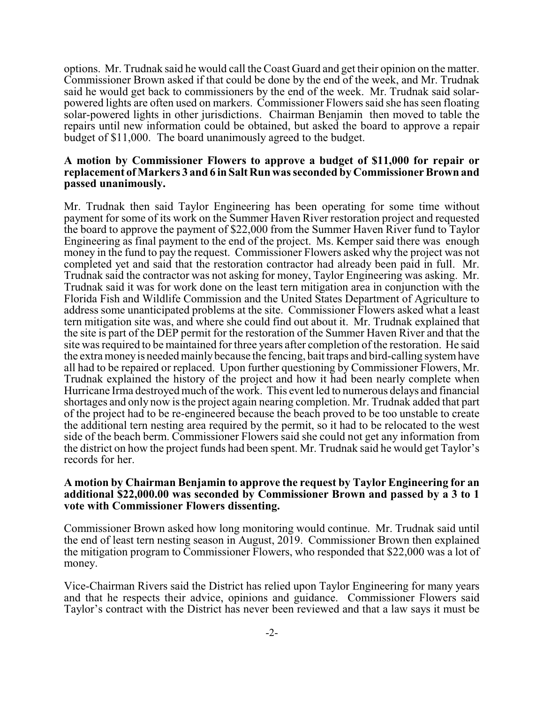options. Mr. Trudnak said he would call the Coast Guard and get their opinion on the matter. Commissioner Brown asked if that could be done by the end of the week, and Mr. Trudnak said he would get back to commissioners by the end of the week. Mr. Trudnak said solarpowered lights are often used on markers. Commissioner Flowers said she has seen floating solar-powered lights in other jurisdictions. Chairman Benjamin then moved to table the repairs until new information could be obtained, but asked the board to approve a repair budget of \$11,000. The board unanimously agreed to the budget.

#### **A motion by Commissioner Flowers to approve a budget of \$11,000 for repair or replacement of Markers 3 and 6 in Salt Run was seconded by Commissioner Brown and passed unanimously.**

Mr. Trudnak then said Taylor Engineering has been operating for some time without payment for some of its work on the Summer Haven River restoration project and requested the board to approve the payment of \$22,000 from the Summer Haven River fund to Taylor Engineering as final payment to the end of the project. Ms. Kemper said there was enough money in the fund to pay the request. Commissioner Flowers asked why the project was not completed yet and said that the restoration contractor had already been paid in full. Mr. Trudnak said the contractor was not asking for money, Taylor Engineering was asking. Mr. Trudnak said it was for work done on the least tern mitigation area in conjunction with the Florida Fish and Wildlife Commission and the United States Department of Agriculture to address some unanticipated problems at the site. Commissioner Flowers asked what a least tern mitigation site was, and where she could find out about it. Mr. Trudnak explained that the site is part of the DEP permit for the restoration of the Summer Haven River and that the site was required to be maintained for three years after completion of the restoration. He said the extra moneyis needed mainlybecause the fencing, bait traps and bird-calling systemhave all had to be repaired or replaced. Upon further questioning by Commissioner Flowers, Mr. Trudnak explained the history of the project and how it had been nearly complete when Hurricane Irma destroyed much of the work. This event led to numerous delays and financial shortages and only now is the project again nearing completion. Mr. Trudnak added that part of the project had to be re-engineered because the beach proved to be too unstable to create the additional tern nesting area required by the permit, so it had to be relocated to the west side of the beach berm. Commissioner Flowers said she could not get any information from the district on how the project funds had been spent. Mr. Trudnak said he would get Taylor's records for her.

#### **A motion by Chairman Benjamin to approve the request by Taylor Engineering for an additional \$22,000.00 was seconded by Commissioner Brown and passed by a 3 to 1 vote with Commissioner Flowers dissenting.**

Commissioner Brown asked how long monitoring would continue. Mr. Trudnak said until the end of least tern nesting season in August, 2019. Commissioner Brown then explained the mitigation program to Commissioner Flowers, who responded that \$22,000 was a lot of money.

Vice-Chairman Rivers said the District has relied upon Taylor Engineering for many years and that he respects their advice, opinions and guidance. Commissioner Flowers said Taylor's contract with the District has never been reviewed and that a law says it must be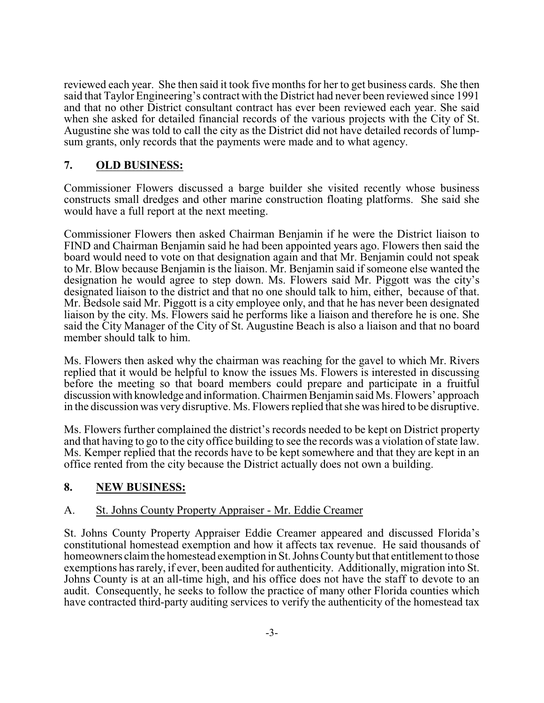reviewed each year. She then said it took five months for her to get business cards. She then said that Taylor Engineering's contract with the District had never been reviewed since 1991 and that no other District consultant contract has ever been reviewed each year. She said when she asked for detailed financial records of the various projects with the City of St. Augustine she was told to call the city as the District did not have detailed records of lumpsum grants, only records that the payments were made and to what agency.

## **7. OLD BUSINESS:**

Commissioner Flowers discussed a barge builder she visited recently whose business constructs small dredges and other marine construction floating platforms. She said she would have a full report at the next meeting.

Commissioner Flowers then asked Chairman Benjamin if he were the District liaison to FIND and Chairman Benjamin said he had been appointed years ago. Flowers then said the board would need to vote on that designation again and that Mr. Benjamin could not speak to Mr. Blow because Benjamin is the liaison. Mr. Benjamin said if someone else wanted the designation he would agree to step down. Ms. Flowers said Mr. Piggott was the city's designated liaison to the district and that no one should talk to him, either, because of that. Mr. Bedsole said Mr. Piggott is a city employee only, and that he has never been designated liaison by the city. Ms. Flowers said he performs like a liaison and therefore he is one. She said the City Manager of the City of St. Augustine Beach is also a liaison and that no board member should talk to him.

Ms. Flowers then asked why the chairman was reaching for the gavel to which Mr. Rivers replied that it would be helpful to know the issues Ms. Flowers is interested in discussing before the meeting so that board members could prepare and participate in a fruitful discussionwith knowledge and information. Chairmen Benjamin said Ms. Flowers' approach in the discussion was very disruptive. Ms. Flowers replied that she was hired to be disruptive.

Ms. Flowers further complained the district's records needed to be kept on District property and that having to go to the city office building to see the records was a violation of state law. Ms. Kemper replied that the records have to be kept somewhere and that they are kept in an office rented from the city because the District actually does not own a building.

# **8. NEW BUSINESS:**

## A. St. Johns County Property Appraiser - Mr. Eddie Creamer

St. Johns County Property Appraiser Eddie Creamer appeared and discussed Florida's constitutional homestead exemption and how it affects tax revenue. He said thousands of homeowners claim the homestead exemption in St. Johns County but that entitlement to those exemptions has rarely, if ever, been audited for authenticity. Additionally, migration into St. Johns County is at an all-time high, and his office does not have the staff to devote to an audit. Consequently, he seeks to follow the practice of many other Florida counties which have contracted third-party auditing services to verify the authenticity of the homestead tax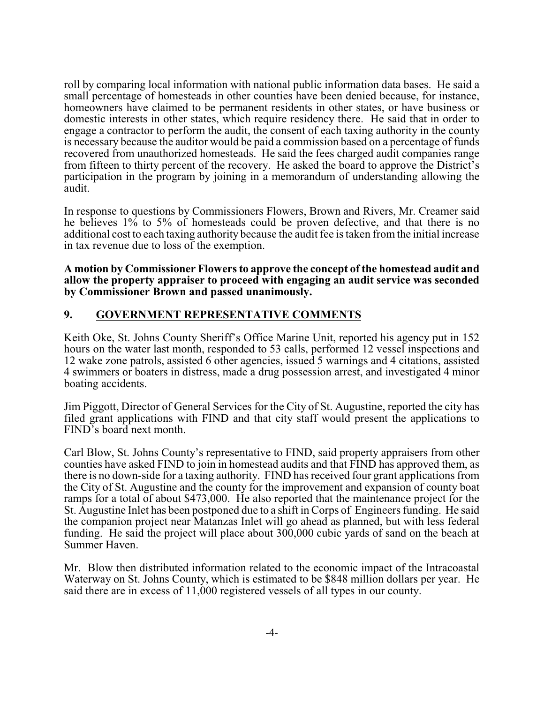roll by comparing local information with national public information data bases. He said a small percentage of homesteads in other counties have been denied because, for instance, homeowners have claimed to be permanent residents in other states, or have business or domestic interests in other states, which require residency there. He said that in order to engage a contractor to perform the audit, the consent of each taxing authority in the county is necessary because the auditor would be paid a commission based on a percentage of funds recovered from unauthorized homesteads. He said the fees charged audit companies range from fifteen to thirty percent of the recovery. He asked the board to approve the District's participation in the program by joining in a memorandum of understanding allowing the audit.

In response to questions by Commissioners Flowers, Brown and Rivers, Mr. Creamer said he believes 1% to 5% of homesteads could be proven defective, and that there is no additional cost to each taxing authority because the audit fee is taken from the initial increase in tax revenue due to loss of the exemption.

**A motion by Commissioner Flowers to approve the concept of the homestead audit and allow the property appraiser to proceed with engaging an audit service was seconded by Commissioner Brown and passed unanimously.**

## **9. GOVERNMENT REPRESENTATIVE COMMENTS**

Keith Oke, St. Johns County Sheriff's Office Marine Unit, reported his agency put in 152 hours on the water last month, responded to 53 calls, performed 12 vessel inspections and 12 wake zone patrols, assisted 6 other agencies, issued 5 warnings and 4 citations, assisted 4 swimmers or boaters in distress, made a drug possession arrest, and investigated 4 minor boating accidents.

Jim Piggott, Director of General Services for the City of St. Augustine, reported the city has filed grant applications with FIND and that city staff would present the applications to FIND's board next month.

Carl Blow, St. Johns County's representative to FIND, said property appraisers from other counties have asked FIND to join in homestead audits and that FIND has approved them, as there is no down-side for a taxing authority. FIND has received four grant applications from the City of St. Augustine and the county for the improvement and expansion of county boat ramps for a total of about \$473,000. He also reported that the maintenance project for the St. Augustine Inlet has been postponed due to a shift in Corps of Engineers funding. He said the companion project near Matanzas Inlet will go ahead as planned, but with less federal funding. He said the project will place about 300,000 cubic yards of sand on the beach at Summer Haven.

Mr. Blow then distributed information related to the economic impact of the Intracoastal Waterway on St. Johns County, which is estimated to be \$848 million dollars per year. He said there are in excess of 11,000 registered vessels of all types in our county.